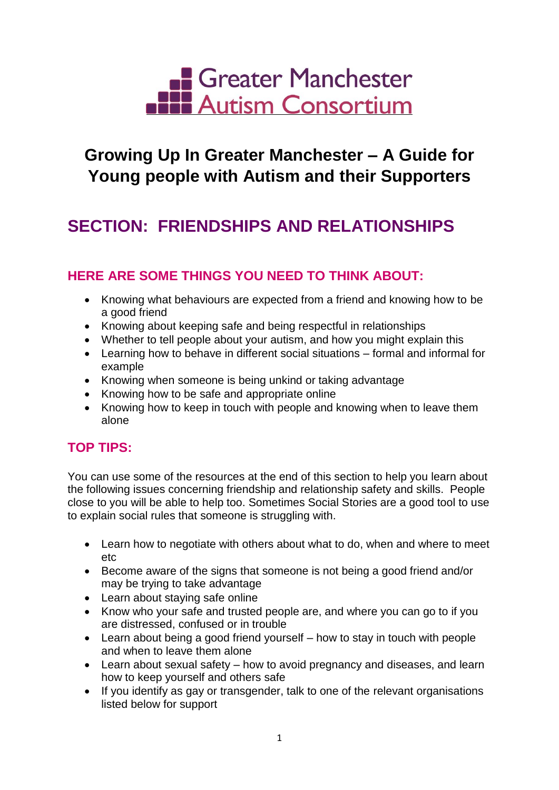

## **Growing Up In Greater Manchester – A Guide for Young people with Autism and their Supporters**

# **SECTION: FRIENDSHIPS AND RELATIONSHIPS**

### **HERE ARE SOME THINGS YOU NEED TO THINK ABOUT:**

- Knowing what behaviours are expected from a friend and knowing how to be a good friend
- Knowing about keeping safe and being respectful in relationships
- Whether to tell people about your autism, and how you might explain this
- Learning how to behave in different social situations formal and informal for example
- Knowing when someone is being unkind or taking advantage
- Knowing how to be safe and appropriate online
- Knowing how to keep in touch with people and knowing when to leave them alone

## **TOP TIPS:**

You can use some of the resources at the end of this section to help you learn about the following issues concerning friendship and relationship safety and skills. People close to you will be able to help too. Sometimes Social Stories are a good tool to use to explain social rules that someone is struggling with.

- Learn how to negotiate with others about what to do, when and where to meet etc
- Become aware of the signs that someone is not being a good friend and/or may be trying to take advantage
- Learn about staying safe online
- Know who your safe and trusted people are, and where you can go to if you are distressed, confused or in trouble
- Learn about being a good friend yourself how to stay in touch with people and when to leave them alone
- Learn about sexual safety how to avoid pregnancy and diseases, and learn how to keep yourself and others safe
- If you identify as gay or transgender, talk to one of the relevant organisations listed below for support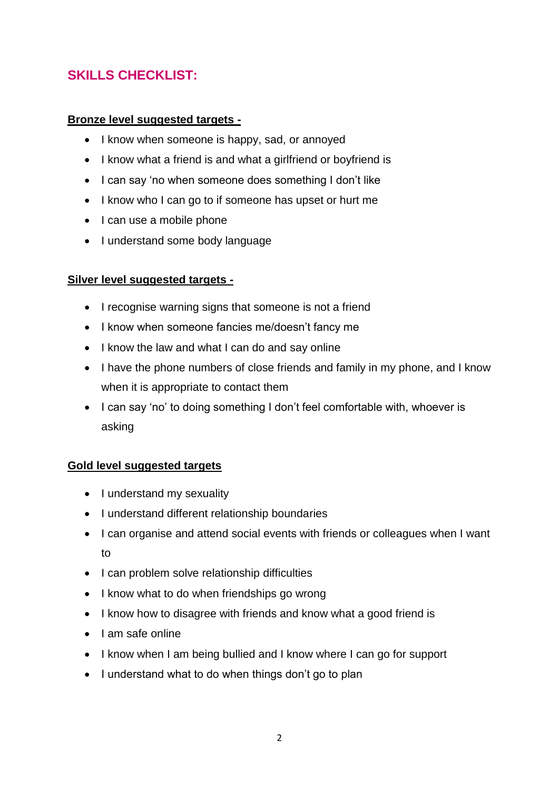## **SKILLS CHECKLIST:**

#### **Bronze level suggested targets -**

- I know when someone is happy, sad, or annoyed
- I know what a friend is and what a girlfriend or boyfriend is
- I can say 'no when someone does something I don't like
- I know who I can go to if someone has upset or hurt me
- $\bullet$  I can use a mobile phone
- I understand some body language

#### **Silver level suggested targets -**

- I recognise warning signs that someone is not a friend
- I know when someone fancies me/doesn't fancy me
- I know the law and what I can do and say online
- I have the phone numbers of close friends and family in my phone, and I know when it is appropriate to contact them
- I can say 'no' to doing something I don't feel comfortable with, whoever is asking

#### **Gold level suggested targets**

- I understand my sexuality
- I understand different relationship boundaries
- I can organise and attend social events with friends or colleagues when I want to
- I can problem solve relationship difficulties
- I know what to do when friendships go wrong
- I know how to disagree with friends and know what a good friend is
- $\bullet$  Lam safe online
- I know when I am being bullied and I know where I can go for support
- I understand what to do when things don't go to plan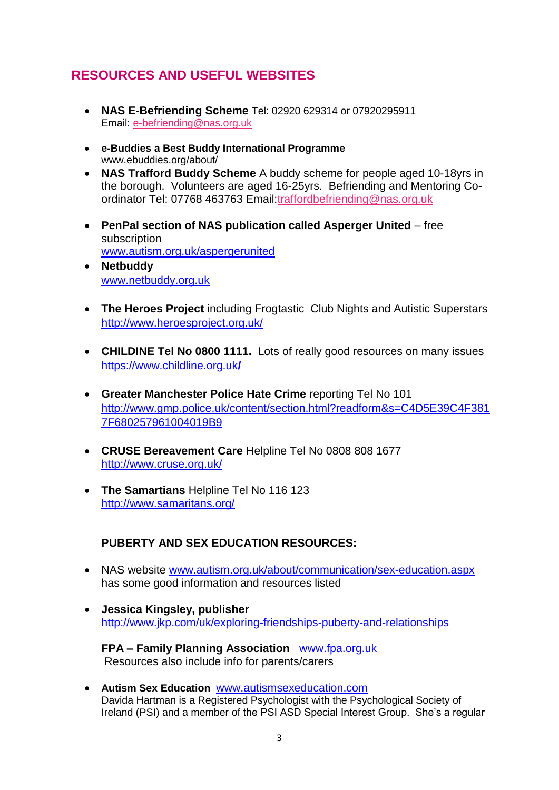## **RESOURCES AND USEFUL WEBSITES**

- **NAS E-Befriending Scheme** Tel: 02920 629314 or 07920295911 Email: [e-befriending@nas.org.uk](mailto:e-befriending@nas.org.uk)
- **e-Buddies a Best Buddy International Programme**  www.ebuddies.org/about/
- **NAS Trafford Buddy Scheme** A buddy scheme for people aged 10-18yrs in the borough. Volunteers are aged 16-25yrs. Befriending and Mentoring Coordinator Tel: 07768 463763 Email[:traffordbefriending@nas.org.uk](mailto:traffordbefriending@nas.org.uk)
- **PenPal section of NAS publication called Asperger United** free subscription [www.autism.org.uk/aspergerunited](http://www.autism.org.uk/aspergerunited)
- **Netbuddy** [www.netbuddy.org.uk](http://www.netbuddy.org.uk/)
- **The Heroes Project** including Frogtastic Club Nights and Autistic Superstars <http://www.heroesproject.org.uk/>
- **CHILDINE Tel No 0800 1111.** Lots of really good resources on many issues [https://www.childline.org.uk](https://www.childline.org.uk/)**/**
- **Greater Manchester Police Hate Crime** reporting Tel No 101 [http://www.gmp.police.uk/content/section.html?readform&s=C4D5E39C4F381](http://www.gmp.police.uk/content/section.html?readform&s=C4D5E39C4F3817F680257961004019B9) [7F680257961004019B9](http://www.gmp.police.uk/content/section.html?readform&s=C4D5E39C4F3817F680257961004019B9)
- **CRUSE Bereavement Care** Helpline Tel No 0808 808 1677 <http://www.cruse.org.uk/>
- **The Samartians** Helpline Tel No 116 123 <http://www.samaritans.org/>

#### **PUBERTY AND SEX EDUCATION RESOURCES:**

- NAS website [www.autism.org.uk/about/communication/sex-education.aspx](http://www.autism.org.uk/about/communication/sex-education.aspx) has some good information and resources listed
- **Jessica Kingsley, publisher** <http://www.jkp.com/uk/exploring-friendships-puberty-and-relationships>
	- **FPA – Family Planning Association** [www.fpa.org.uk](http://www.fpa.org.uk/) Resources also include info for parents/carers
- **Autism Sex Education** [www.autismsexeducation.com](http://www.autismsexeducation.com/) Davida Hartman is a Registered Psychologist with the Psychological Society of Ireland (PSI) and a member of the PSI ASD Special Interest Group. She's a regular